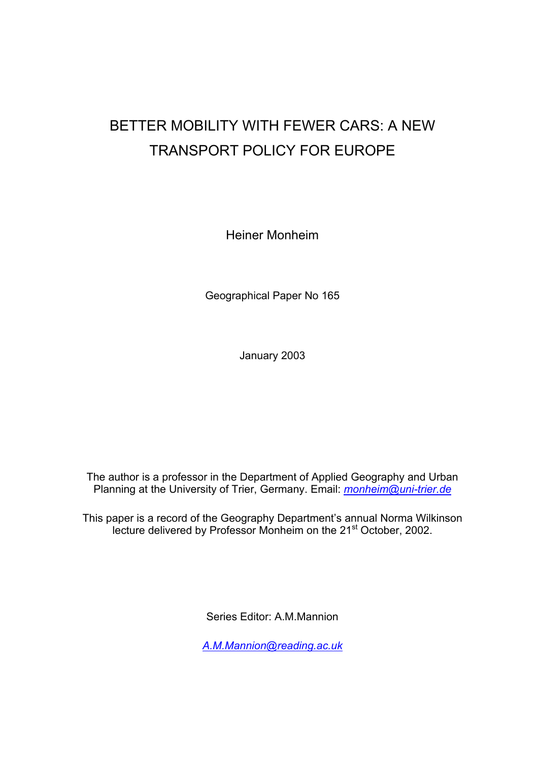# BETTER MOBILITY WITH FEWER CARS: A NEW TRANSPORT POLICY FOR EUROPE

Heiner Monheim

Geographical Paper No 165

January 2003

The author is a professor in the Department of Applied Geography and Urban Planning at the University of Trier, Germany. Email: *[monheim@uni-trier.de](mailto:monheim@uni-trier.de)*

This paper is a record of the Geography Department's annual Norma Wilkinson lecture delivered by Professor Monheim on the 21<sup>st</sup> October, 2002.

Series Editor: A.M.Mannion

*[A.M.Mannion@reading.ac.uk](mailto:A.M.Mannion@reading.ac.uk)*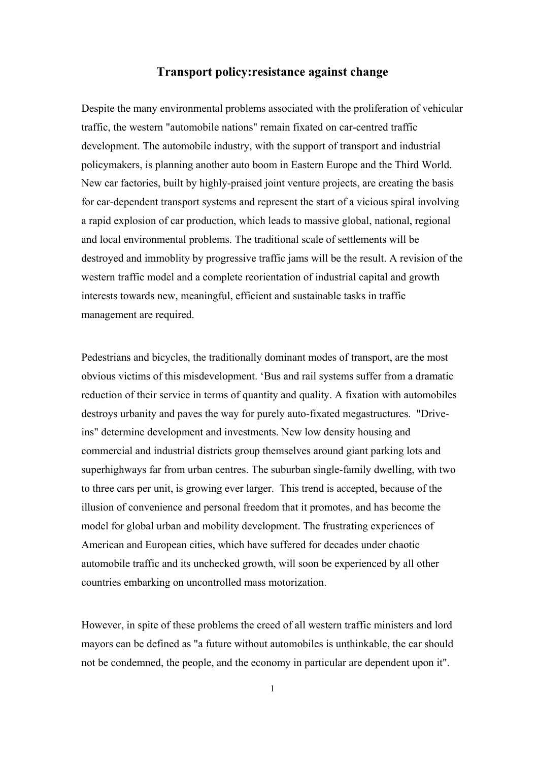#### **Transport policy:resistance against change**

Despite the many environmental problems associated with the proliferation of vehicular traffic, the western "automobile nations" remain fixated on car-centred traffic development. The automobile industry, with the support of transport and industrial policymakers, is planning another auto boom in Eastern Europe and the Third World. New car factories, built by highly-praised joint venture projects, are creating the basis for car-dependent transport systems and represent the start of a vicious spiral involving a rapid explosion of car production, which leads to massive global, national, regional and local environmental problems. The traditional scale of settlements will be destroyed and immoblity by progressive traffic jams will be the result. A revision of the western traffic model and a complete reorientation of industrial capital and growth interests towards new, meaningful, efficient and sustainable tasks in traffic management are required.

Pedestrians and bicycles, the traditionally dominant modes of transport, are the most obvious victims of this misdevelopment. 'Bus and rail systems suffer from a dramatic reduction of their service in terms of quantity and quality. A fixation with automobiles destroys urbanity and paves the way for purely auto-fixated megastructures. "Driveins" determine development and investments. New low density housing and commercial and industrial districts group themselves around giant parking lots and superhighways far from urban centres. The suburban single-family dwelling, with two to three cars per unit, is growing ever larger. This trend is accepted, because of the illusion of convenience and personal freedom that it promotes, and has become the model for global urban and mobility development. The frustrating experiences of American and European cities, which have suffered for decades under chaotic automobile traffic and its unchecked growth, will soon be experienced by all other countries embarking on uncontrolled mass motorization.

However, in spite of these problems the creed of all western traffic ministers and lord mayors can be defined as "a future without automobiles is unthinkable, the car should not be condemned, the people, and the economy in particular are dependent upon it".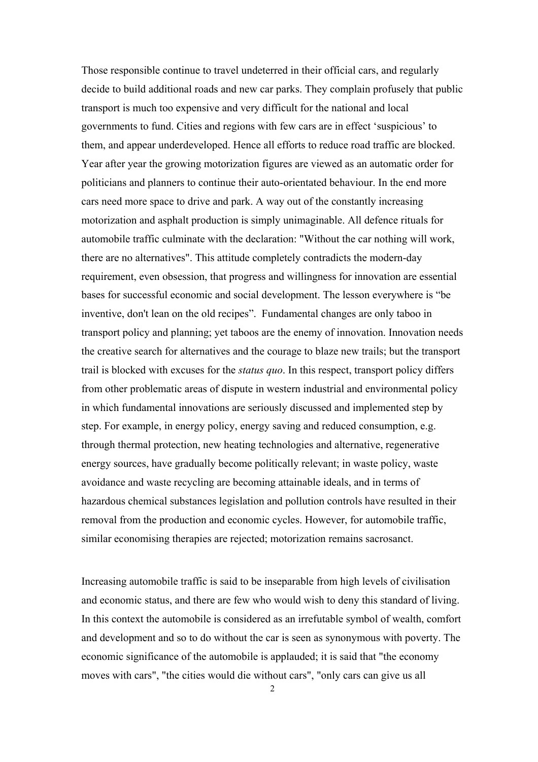Those responsible continue to travel undeterred in their official cars, and regularly decide to build additional roads and new car parks. They complain profusely that public transport is much too expensive and very difficult for the national and local governments to fund. Cities and regions with few cars are in effect 'suspicious' to them, and appear underdeveloped. Hence all efforts to reduce road traffic are blocked. Year after year the growing motorization figures are viewed as an automatic order for politicians and planners to continue their auto-orientated behaviour. In the end more cars need more space to drive and park. A way out of the constantly increasing motorization and asphalt production is simply unimaginable. All defence rituals for automobile traffic culminate with the declaration: "Without the car nothing will work, there are no alternatives". This attitude completely contradicts the modern-day requirement, even obsession, that progress and willingness for innovation are essential bases for successful economic and social development. The lesson everywhere is "be inventive, don't lean on the old recipes". Fundamental changes are only taboo in transport policy and planning; yet taboos are the enemy of innovation. Innovation needs the creative search for alternatives and the courage to blaze new trails; but the transport trail is blocked with excuses for the *status quo*. In this respect, transport policy differs from other problematic areas of dispute in western industrial and environmental policy in which fundamental innovations are seriously discussed and implemented step by step. For example, in energy policy, energy saving and reduced consumption, e.g. through thermal protection, new heating technologies and alternative, regenerative energy sources, have gradually become politically relevant; in waste policy, waste avoidance and waste recycling are becoming attainable ideals, and in terms of hazardous chemical substances legislation and pollution controls have resulted in their removal from the production and economic cycles. However, for automobile traffic, similar economising therapies are rejected; motorization remains sacrosanct.

Increasing automobile traffic is said to be inseparable from high levels of civilisation and economic status, and there are few who would wish to deny this standard of living. In this context the automobile is considered as an irrefutable symbol of wealth, comfort and development and so to do without the car is seen as synonymous with poverty. The economic significance of the automobile is applauded; it is said that "the economy moves with cars", "the cities would die without cars", "only cars can give us all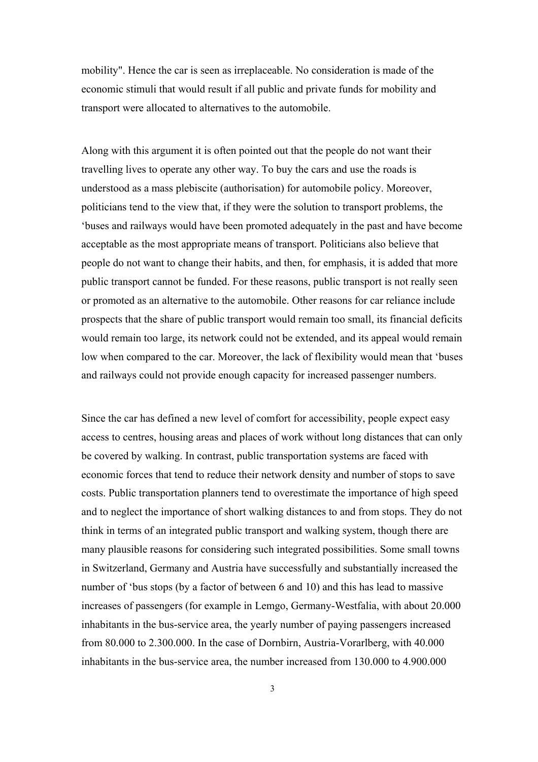mobility". Hence the car is seen as irreplaceable. No consideration is made of the economic stimuli that would result if all public and private funds for mobility and transport were allocated to alternatives to the automobile.

Along with this argument it is often pointed out that the people do not want their travelling lives to operate any other way. To buy the cars and use the roads is understood as a mass plebiscite (authorisation) for automobile policy. Moreover, politicians tend to the view that, if they were the solution to transport problems, the 'buses and railways would have been promoted adequately in the past and have become acceptable as the most appropriate means of transport. Politicians also believe that people do not want to change their habits, and then, for emphasis, it is added that more public transport cannot be funded. For these reasons, public transport is not really seen or promoted as an alternative to the automobile. Other reasons for car reliance include prospects that the share of public transport would remain too small, its financial deficits would remain too large, its network could not be extended, and its appeal would remain low when compared to the car. Moreover, the lack of flexibility would mean that 'buses and railways could not provide enough capacity for increased passenger numbers.

Since the car has defined a new level of comfort for accessibility, people expect easy access to centres, housing areas and places of work without long distances that can only be covered by walking. In contrast, public transportation systems are faced with economic forces that tend to reduce their network density and number of stops to save costs. Public transportation planners tend to overestimate the importance of high speed and to neglect the importance of short walking distances to and from stops. They do not think in terms of an integrated public transport and walking system, though there are many plausible reasons for considering such integrated possibilities. Some small towns in Switzerland, Germany and Austria have successfully and substantially increased the number of 'bus stops (by a factor of between 6 and 10) and this has lead to massive increases of passengers (for example in Lemgo, Germany-Westfalia, with about 20.000 inhabitants in the bus-service area, the yearly number of paying passengers increased from 80.000 to 2.300.000. In the case of Dornbirn, Austria-Vorarlberg, with 40.000 inhabitants in the bus-service area, the number increased from 130.000 to 4.900.000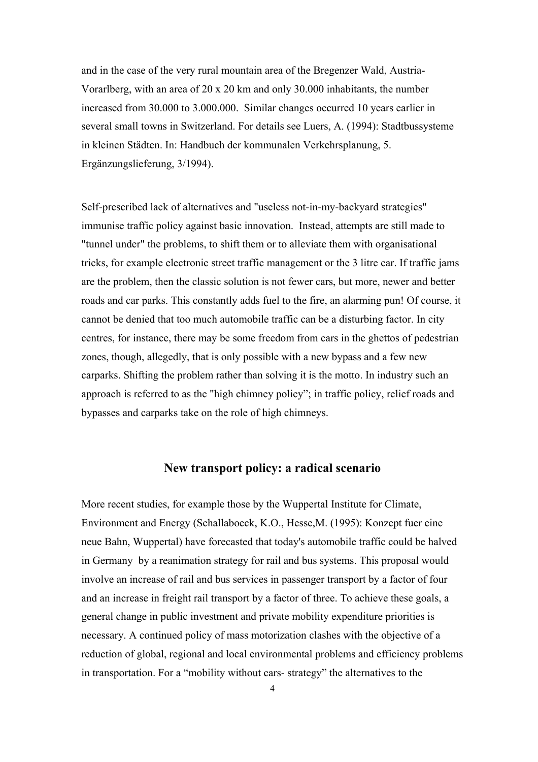and in the case of the very rural mountain area of the Bregenzer Wald, Austria-Vorarlberg, with an area of 20 x 20 km and only 30.000 inhabitants, the number increased from 30.000 to 3.000.000. Similar changes occurred 10 years earlier in several small towns in Switzerland. For details see Luers, A. (1994): Stadtbussysteme in kleinen Städten. In: Handbuch der kommunalen Verkehrsplanung, 5. Ergänzungslieferung, 3/1994).

Self-prescribed lack of alternatives and "useless not-in-my-backyard strategies" immunise traffic policy against basic innovation. Instead, attempts are still made to "tunnel under" the problems, to shift them or to alleviate them with organisational tricks, for example electronic street traffic management or the 3 litre car. If traffic jams are the problem, then the classic solution is not fewer cars, but more, newer and better roads and car parks. This constantly adds fuel to the fire, an alarming pun! Of course, it cannot be denied that too much automobile traffic can be a disturbing factor. In city centres, for instance, there may be some freedom from cars in the ghettos of pedestrian zones, though, allegedly, that is only possible with a new bypass and a few new carparks. Shifting the problem rather than solving it is the motto. In industry such an approach is referred to as the "high chimney policy"; in traffic policy, relief roads and bypasses and carparks take on the role of high chimneys.

## **New transport policy: a radical scenario**

More recent studies, for example those by the Wuppertal Institute for Climate, Environment and Energy (Schallaboeck, K.O., Hesse,M. (1995): Konzept fuer eine neue Bahn, Wuppertal) have forecasted that today's automobile traffic could be halved in Germany by a reanimation strategy for rail and bus systems. This proposal would involve an increase of rail and bus services in passenger transport by a factor of four and an increase in freight rail transport by a factor of three. To achieve these goals, a general change in public investment and private mobility expenditure priorities is necessary. A continued policy of mass motorization clashes with the objective of a reduction of global, regional and local environmental problems and efficiency problems in transportation. For a "mobility without cars- strategy" the alternatives to the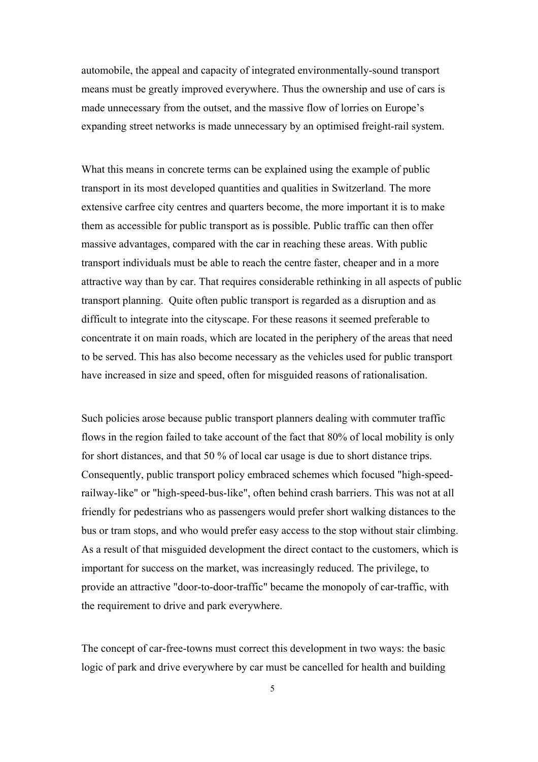automobile, the appeal and capacity of integrated environmentally-sound transport means must be greatly improved everywhere. Thus the ownership and use of cars is made unnecessary from the outset, and the massive flow of lorries on Europe's expanding street networks is made unnecessary by an optimised freight-rail system.

What this means in concrete terms can be explained using the example of public transport in its most developed quantities and qualities in Switzerland. The more extensive carfree city centres and quarters become, the more important it is to make them as accessible for public transport as is possible. Public traffic can then offer massive advantages, compared with the car in reaching these areas. With public transport individuals must be able to reach the centre faster, cheaper and in a more attractive way than by car. That requires considerable rethinking in all aspects of public transport planning. Quite often public transport is regarded as a disruption and as difficult to integrate into the cityscape. For these reasons it seemed preferable to concentrate it on main roads, which are located in the periphery of the areas that need to be served. This has also become necessary as the vehicles used for public transport have increased in size and speed, often for misguided reasons of rationalisation.

Such policies arose because public transport planners dealing with commuter traffic flows in the region failed to take account of the fact that 80% of local mobility is only for short distances, and that 50 % of local car usage is due to short distance trips. Consequently, public transport policy embraced schemes which focused "high-speedrailway-like" or "high-speed-bus-like", often behind crash barriers. This was not at all friendly for pedestrians who as passengers would prefer short walking distances to the bus or tram stops, and who would prefer easy access to the stop without stair climbing. As a result of that misguided development the direct contact to the customers, which is important for success on the market, was increasingly reduced. The privilege, to provide an attractive "door-to-door-traffic" became the monopoly of car-traffic, with the requirement to drive and park everywhere.

The concept of car-free-towns must correct this development in two ways: the basic logic of park and drive everywhere by car must be cancelled for health and building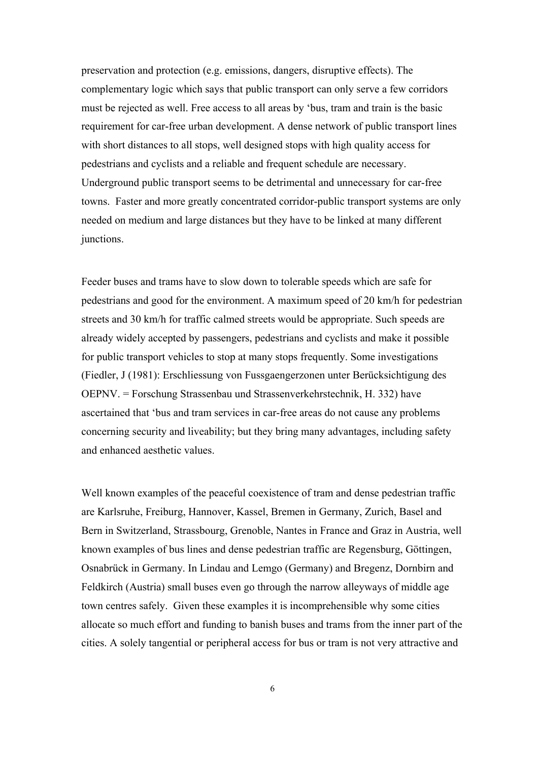preservation and protection (e.g. emissions, dangers, disruptive effects). The complementary logic which says that public transport can only serve a few corridors must be rejected as well. Free access to all areas by 'bus, tram and train is the basic requirement for car-free urban development. A dense network of public transport lines with short distances to all stops, well designed stops with high quality access for pedestrians and cyclists and a reliable and frequent schedule are necessary. Underground public transport seems to be detrimental and unnecessary for car-free towns. Faster and more greatly concentrated corridor-public transport systems are only needed on medium and large distances but they have to be linked at many different junctions.

Feeder buses and trams have to slow down to tolerable speeds which are safe for pedestrians and good for the environment. A maximum speed of 20 km/h for pedestrian streets and 30 km/h for traffic calmed streets would be appropriate. Such speeds are already widely accepted by passengers, pedestrians and cyclists and make it possible for public transport vehicles to stop at many stops frequently. Some investigations (Fiedler, J (1981): Erschliessung von Fussgaengerzonen unter Berücksichtigung des OEPNV. = Forschung Strassenbau und Strassenverkehrstechnik, H. 332) have ascertained that 'bus and tram services in car-free areas do not cause any problems concerning security and liveability; but they bring many advantages, including safety and enhanced aesthetic values.

Well known examples of the peaceful coexistence of tram and dense pedestrian traffic are Karlsruhe, Freiburg, Hannover, Kassel, Bremen in Germany, Zurich, Basel and Bern in Switzerland, Strassbourg, Grenoble, Nantes in France and Graz in Austria, well known examples of bus lines and dense pedestrian traffic are Regensburg, Göttingen, Osnabrück in Germany. In Lindau and Lemgo (Germany) and Bregenz, Dornbirn and Feldkirch (Austria) small buses even go through the narrow alleyways of middle age town centres safely. Given these examples it is incomprehensible why some cities allocate so much effort and funding to banish buses and trams from the inner part of the cities. A solely tangential or peripheral access for bus or tram is not very attractive and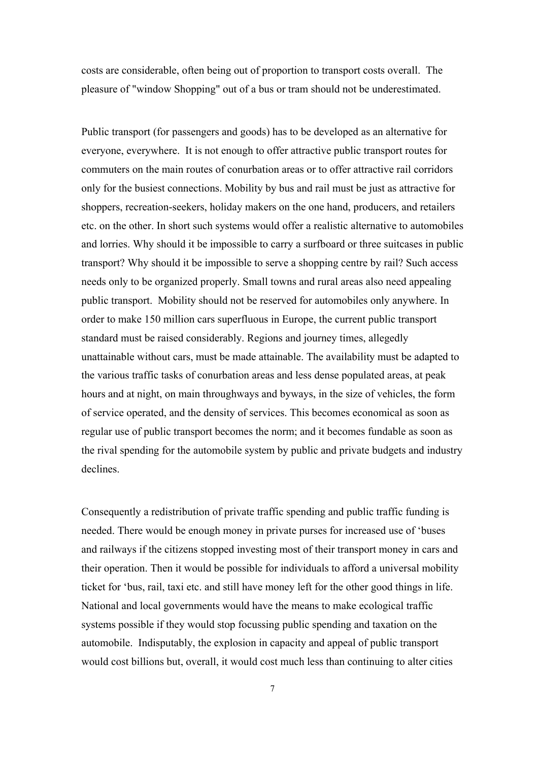costs are considerable, often being out of proportion to transport costs overall. The pleasure of "window Shopping" out of a bus or tram should not be underestimated.

Public transport (for passengers and goods) has to be developed as an alternative for everyone, everywhere. It is not enough to offer attractive public transport routes for commuters on the main routes of conurbation areas or to offer attractive rail corridors only for the busiest connections. Mobility by bus and rail must be just as attractive for shoppers, recreation-seekers, holiday makers on the one hand, producers, and retailers etc. on the other. In short such systems would offer a realistic alternative to automobiles and lorries. Why should it be impossible to carry a surfboard or three suitcases in public transport? Why should it be impossible to serve a shopping centre by rail? Such access needs only to be organized properly. Small towns and rural areas also need appealing public transport. Mobility should not be reserved for automobiles only anywhere. In order to make 150 million cars superfluous in Europe, the current public transport standard must be raised considerably. Regions and journey times, allegedly unattainable without cars, must be made attainable. The availability must be adapted to the various traffic tasks of conurbation areas and less dense populated areas, at peak hours and at night, on main throughways and byways, in the size of vehicles, the form of service operated, and the density of services. This becomes economical as soon as regular use of public transport becomes the norm; and it becomes fundable as soon as the rival spending for the automobile system by public and private budgets and industry declines.

Consequently a redistribution of private traffic spending and public traffic funding is needed. There would be enough money in private purses for increased use of 'buses and railways if the citizens stopped investing most of their transport money in cars and their operation. Then it would be possible for individuals to afford a universal mobility ticket for 'bus, rail, taxi etc. and still have money left for the other good things in life. National and local governments would have the means to make ecological traffic systems possible if they would stop focussing public spending and taxation on the automobile. Indisputably, the explosion in capacity and appeal of public transport would cost billions but, overall, it would cost much less than continuing to alter cities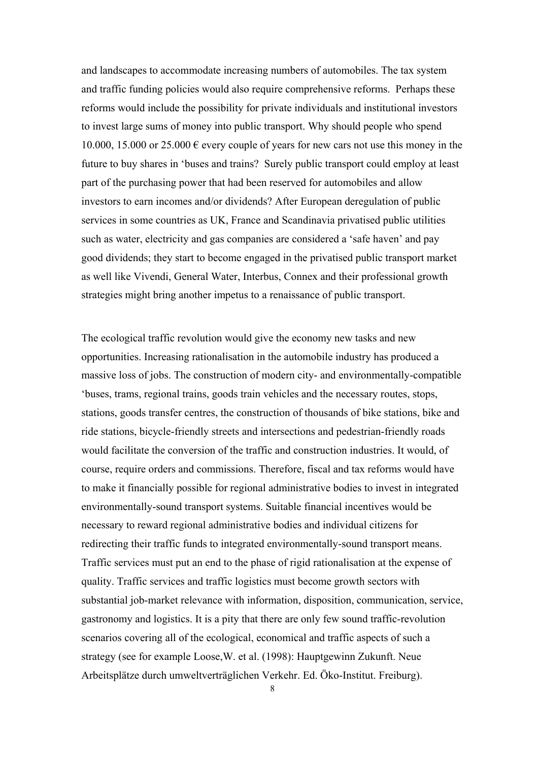and landscapes to accommodate increasing numbers of automobiles. The tax system and traffic funding policies would also require comprehensive reforms. Perhaps these reforms would include the possibility for private individuals and institutional investors to invest large sums of money into public transport. Why should people who spend 10.000, 15.000 or 25.000  $\epsilon$  every couple of years for new cars not use this money in the future to buy shares in 'buses and trains? Surely public transport could employ at least part of the purchasing power that had been reserved for automobiles and allow investors to earn incomes and/or dividends? After European deregulation of public services in some countries as UK, France and Scandinavia privatised public utilities such as water, electricity and gas companies are considered a 'safe haven' and pay good dividends; they start to become engaged in the privatised public transport market as well like Vivendi, General Water, Interbus, Connex and their professional growth strategies might bring another impetus to a renaissance of public transport.

The ecological traffic revolution would give the economy new tasks and new opportunities. Increasing rationalisation in the automobile industry has produced a massive loss of jobs. The construction of modern city- and environmentally-compatible 'buses, trams, regional trains, goods train vehicles and the necessary routes, stops, stations, goods transfer centres, the construction of thousands of bike stations, bike and ride stations, bicycle-friendly streets and intersections and pedestrian-friendly roads would facilitate the conversion of the traffic and construction industries. It would, of course, require orders and commissions. Therefore, fiscal and tax reforms would have to make it financially possible for regional administrative bodies to invest in integrated environmentally-sound transport systems. Suitable financial incentives would be necessary to reward regional administrative bodies and individual citizens for redirecting their traffic funds to integrated environmentally-sound transport means. Traffic services must put an end to the phase of rigid rationalisation at the expense of quality. Traffic services and traffic logistics must become growth sectors with substantial job-market relevance with information, disposition, communication, service, gastronomy and logistics. It is a pity that there are only few sound traffic-revolution scenarios covering all of the ecological, economical and traffic aspects of such a strategy (see for example Loose,W. et al. (1998): Hauptgewinn Zukunft. Neue Arbeitsplätze durch umweltverträglichen Verkehr. Ed. Öko-Institut. Freiburg).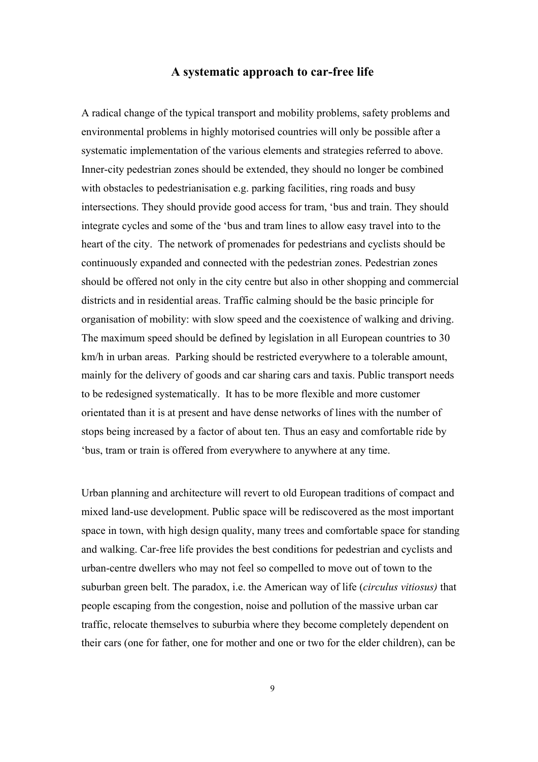### **A systematic approach to car-free life**

A radical change of the typical transport and mobility problems, safety problems and environmental problems in highly motorised countries will only be possible after a systematic implementation of the various elements and strategies referred to above. Inner-city pedestrian zones should be extended, they should no longer be combined with obstacles to pedestrianisation e.g. parking facilities, ring roads and busy intersections. They should provide good access for tram, 'bus and train. They should integrate cycles and some of the 'bus and tram lines to allow easy travel into to the heart of the city. The network of promenades for pedestrians and cyclists should be continuously expanded and connected with the pedestrian zones. Pedestrian zones should be offered not only in the city centre but also in other shopping and commercial districts and in residential areas. Traffic calming should be the basic principle for organisation of mobility: with slow speed and the coexistence of walking and driving. The maximum speed should be defined by legislation in all European countries to 30 km/h in urban areas. Parking should be restricted everywhere to a tolerable amount, mainly for the delivery of goods and car sharing cars and taxis. Public transport needs to be redesigned systematically. It has to be more flexible and more customer orientated than it is at present and have dense networks of lines with the number of stops being increased by a factor of about ten. Thus an easy and comfortable ride by 'bus, tram or train is offered from everywhere to anywhere at any time.

Urban planning and architecture will revert to old European traditions of compact and mixed land-use development. Public space will be rediscovered as the most important space in town, with high design quality, many trees and comfortable space for standing and walking. Car-free life provides the best conditions for pedestrian and cyclists and urban-centre dwellers who may not feel so compelled to move out of town to the suburban green belt. The paradox, i.e. the American way of life (*circulus vitiosus)* that people escaping from the congestion, noise and pollution of the massive urban car traffic, relocate themselves to suburbia where they become completely dependent on their cars (one for father, one for mother and one or two for the elder children), can be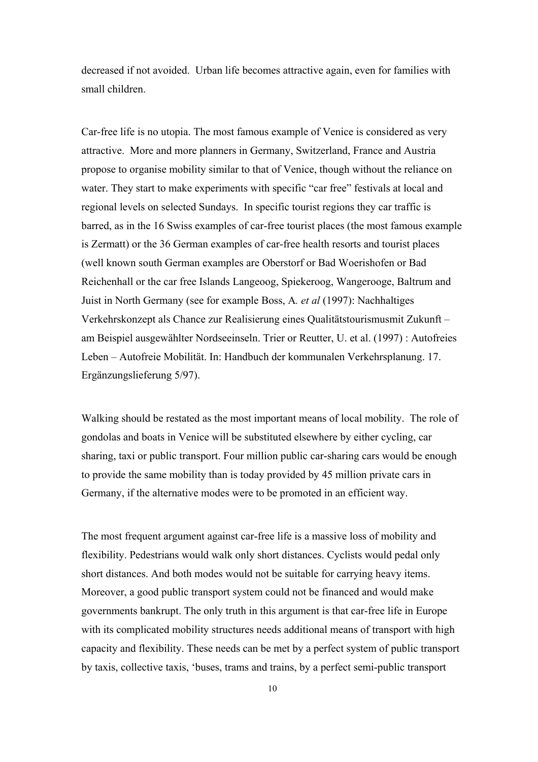decreased if not avoided. Urban life becomes attractive again, even for families with small children.

Car-free life is no utopia. The most famous example of Venice is considered as very attractive. More and more planners in Germany, Switzerland, France and Austria propose to organise mobility similar to that of Venice, though without the reliance on water. They start to make experiments with specific "car free" festivals at local and regional levels on selected Sundays. In specific tourist regions they car traffic is barred, as in the 16 Swiss examples of car-free tourist places (the most famous example is Zermatt) or the 36 German examples of car-free health resorts and tourist places (well known south German examples are Oberstorf or Bad Woerishofen or Bad Reichenhall or the car free Islands Langeoog, Spiekeroog, Wangerooge, Baltrum and Juist in North Germany (see for example Boss, A*. et al* (1997): Nachhaltiges Verkehrskonzept als Chance zur Realisierung eines Qualitätstourismusmit Zukunft – am Beispiel ausgewählter Nordseeinseln. Trier or Reutter, U. et al. (1997) : Autofreies Leben – Autofreie Mobilität. In: Handbuch der kommunalen Verkehrsplanung. 17. Ergänzungslieferung 5/97).

Walking should be restated as the most important means of local mobility. The role of gondolas and boats in Venice will be substituted elsewhere by either cycling, car sharing, taxi or public transport. Four million public car-sharing cars would be enough to provide the same mobility than is today provided by 45 million private cars in Germany, if the alternative modes were to be promoted in an efficient way.

The most frequent argument against car-free life is a massive loss of mobility and flexibility. Pedestrians would walk only short distances. Cyclists would pedal only short distances. And both modes would not be suitable for carrying heavy items. Moreover, a good public transport system could not be financed and would make governments bankrupt. The only truth in this argument is that car-free life in Europe with its complicated mobility structures needs additional means of transport with high capacity and flexibility. These needs can be met by a perfect system of public transport by taxis, collective taxis, 'buses, trams and trains, by a perfect semi-public transport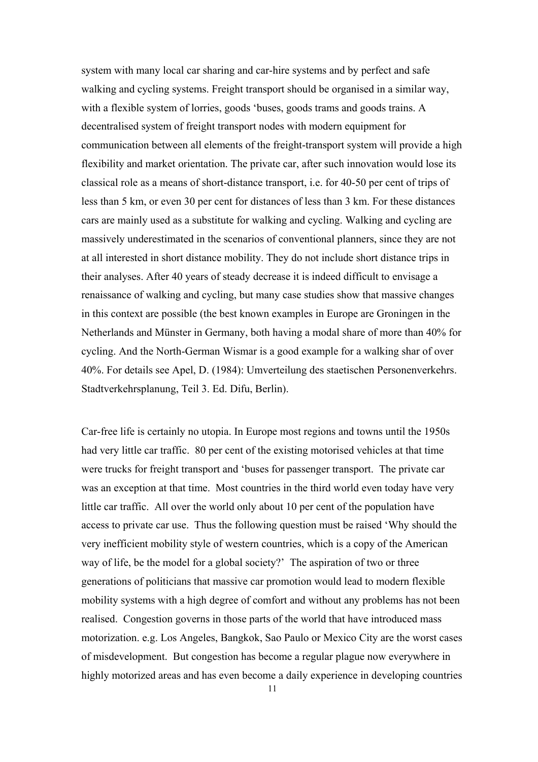system with many local car sharing and car-hire systems and by perfect and safe walking and cycling systems. Freight transport should be organised in a similar way, with a flexible system of lorries, goods 'buses, goods trams and goods trains. A decentralised system of freight transport nodes with modern equipment for communication between all elements of the freight-transport system will provide a high flexibility and market orientation. The private car, after such innovation would lose its classical role as a means of short-distance transport, i.e. for 40-50 per cent of trips of less than 5 km, or even 30 per cent for distances of less than 3 km. For these distances cars are mainly used as a substitute for walking and cycling. Walking and cycling are massively underestimated in the scenarios of conventional planners, since they are not at all interested in short distance mobility. They do not include short distance trips in their analyses. After 40 years of steady decrease it is indeed difficult to envisage a renaissance of walking and cycling, but many case studies show that massive changes in this context are possible (the best known examples in Europe are Groningen in the Netherlands and Münster in Germany, both having a modal share of more than 40% for cycling. And the North-German Wismar is a good example for a walking shar of over 40%. For details see Apel, D. (1984): Umverteilung des staetischen Personenverkehrs. Stadtverkehrsplanung, Teil 3. Ed. Difu, Berlin).

Car-free life is certainly no utopia. In Europe most regions and towns until the 1950s had very little car traffic. 80 per cent of the existing motorised vehicles at that time were trucks for freight transport and 'buses for passenger transport. The private car was an exception at that time. Most countries in the third world even today have very little car traffic. All over the world only about 10 per cent of the population have access to private car use. Thus the following question must be raised 'Why should the very inefficient mobility style of western countries, which is a copy of the American way of life, be the model for a global society?' The aspiration of two or three generations of politicians that massive car promotion would lead to modern flexible mobility systems with a high degree of comfort and without any problems has not been realised. Congestion governs in those parts of the world that have introduced mass motorization. e.g. Los Angeles, Bangkok, Sao Paulo or Mexico City are the worst cases of misdevelopment. But congestion has become a regular plague now everywhere in highly motorized areas and has even become a daily experience in developing countries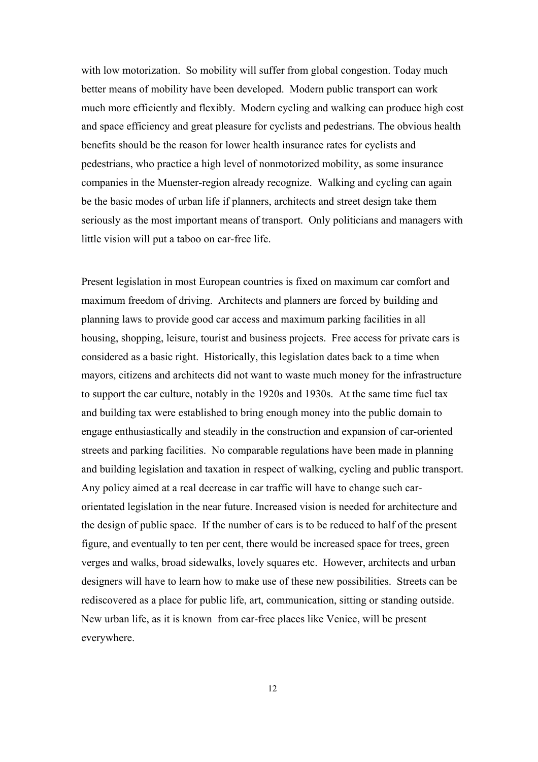with low motorization. So mobility will suffer from global congestion. Today much better means of mobility have been developed. Modern public transport can work much more efficiently and flexibly. Modern cycling and walking can produce high cost and space efficiency and great pleasure for cyclists and pedestrians. The obvious health benefits should be the reason for lower health insurance rates for cyclists and pedestrians, who practice a high level of nonmotorized mobility, as some insurance companies in the Muenster-region already recognize. Walking and cycling can again be the basic modes of urban life if planners, architects and street design take them seriously as the most important means of transport. Only politicians and managers with little vision will put a taboo on car-free life.

Present legislation in most European countries is fixed on maximum car comfort and maximum freedom of driving. Architects and planners are forced by building and planning laws to provide good car access and maximum parking facilities in all housing, shopping, leisure, tourist and business projects. Free access for private cars is considered as a basic right. Historically, this legislation dates back to a time when mayors, citizens and architects did not want to waste much money for the infrastructure to support the car culture, notably in the 1920s and 1930s. At the same time fuel tax and building tax were established to bring enough money into the public domain to engage enthusiastically and steadily in the construction and expansion of car-oriented streets and parking facilities. No comparable regulations have been made in planning and building legislation and taxation in respect of walking, cycling and public transport. Any policy aimed at a real decrease in car traffic will have to change such carorientated legislation in the near future. Increased vision is needed for architecture and the design of public space. If the number of cars is to be reduced to half of the present figure, and eventually to ten per cent, there would be increased space for trees, green verges and walks, broad sidewalks, lovely squares etc. However, architects and urban designers will have to learn how to make use of these new possibilities. Streets can be rediscovered as a place for public life, art, communication, sitting or standing outside. New urban life, as it is known from car-free places like Venice, will be present everywhere.

12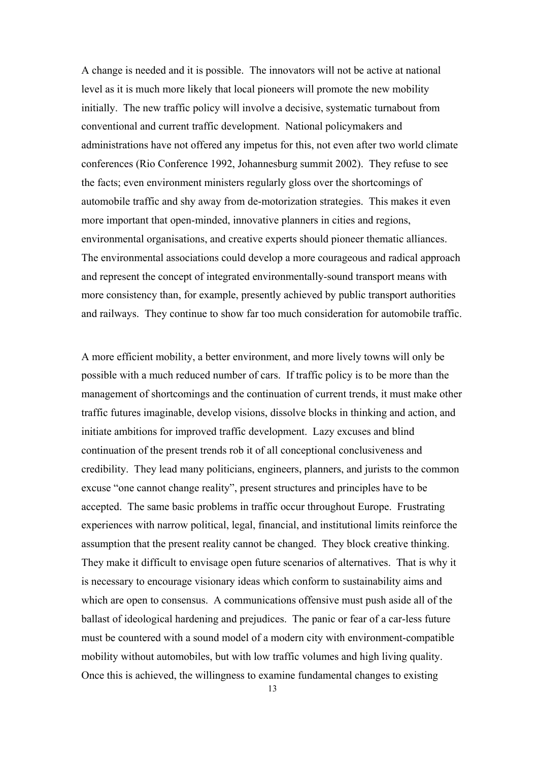A change is needed and it is possible. The innovators will not be active at national level as it is much more likely that local pioneers will promote the new mobility initially. The new traffic policy will involve a decisive, systematic turnabout from conventional and current traffic development. National policymakers and administrations have not offered any impetus for this, not even after two world climate conferences (Rio Conference 1992, Johannesburg summit 2002). They refuse to see the facts; even environment ministers regularly gloss over the shortcomings of automobile traffic and shy away from de-motorization strategies. This makes it even more important that open-minded, innovative planners in cities and regions, environmental organisations, and creative experts should pioneer thematic alliances. The environmental associations could develop a more courageous and radical approach and represent the concept of integrated environmentally-sound transport means with more consistency than, for example, presently achieved by public transport authorities and railways. They continue to show far too much consideration for automobile traffic.

A more efficient mobility, a better environment, and more lively towns will only be possible with a much reduced number of cars. If traffic policy is to be more than the management of shortcomings and the continuation of current trends, it must make other traffic futures imaginable, develop visions, dissolve blocks in thinking and action, and initiate ambitions for improved traffic development. Lazy excuses and blind continuation of the present trends rob it of all conceptional conclusiveness and credibility. They lead many politicians, engineers, planners, and jurists to the common excuse "one cannot change reality", present structures and principles have to be accepted. The same basic problems in traffic occur throughout Europe. Frustrating experiences with narrow political, legal, financial, and institutional limits reinforce the assumption that the present reality cannot be changed. They block creative thinking. They make it difficult to envisage open future scenarios of alternatives. That is why it is necessary to encourage visionary ideas which conform to sustainability aims and which are open to consensus. A communications offensive must push aside all of the ballast of ideological hardening and prejudices. The panic or fear of a car-less future must be countered with a sound model of a modern city with environment-compatible mobility without automobiles, but with low traffic volumes and high living quality. Once this is achieved, the willingness to examine fundamental changes to existing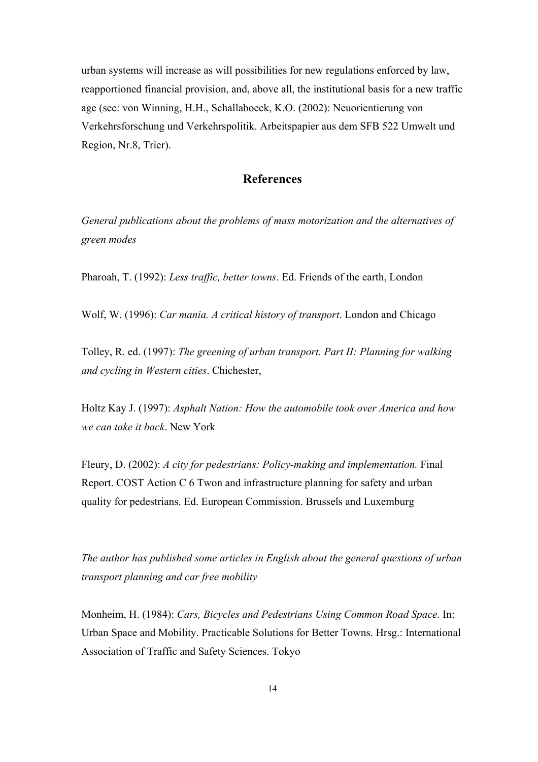urban systems will increase as will possibilities for new regulations enforced by law, reapportioned financial provision, and, above all, the institutional basis for a new traffic age (see: von Winning, H.H., Schallaboeck, K.O. (2002): Neuorientierung von Verkehrsforschung und Verkehrspolitik. Arbeitspapier aus dem SFB 522 Umwelt und Region, Nr.8, Trier).

## **References**

*General publications about the problems of mass motorization and the alternatives of green modes* 

Pharoah, T. (1992): *Less traffic, better towns*. Ed. Friends of the earth, London

Wolf, W. (1996): *Car mania. A critical history of transport*. London and Chicago

Tolley, R. ed. (1997): *The greening of urban transport. Part II: Planning for walking and cycling in Western cities*. Chichester,

Holtz Kay J. (1997): *Asphalt Nation: How the automobile took over America and how we can take it back*. New York

Fleury, D. (2002): *A city for pedestrians: Policy-making and implementation.* Final Report. COST Action C 6 Twon and infrastructure planning for safety and urban quality for pedestrians. Ed. European Commission. Brussels and Luxemburg

*The author has published some articles in English about the general questions of urban transport planning and car free mobility* 

Monheim, H. (1984): *Cars, Bicycles and Pedestrians Using Common Road Space.* In: Urban Space and Mobility. Practicable Solutions for Better Towns. Hrsg.: International Association of Traffic and Safety Sciences. Tokyo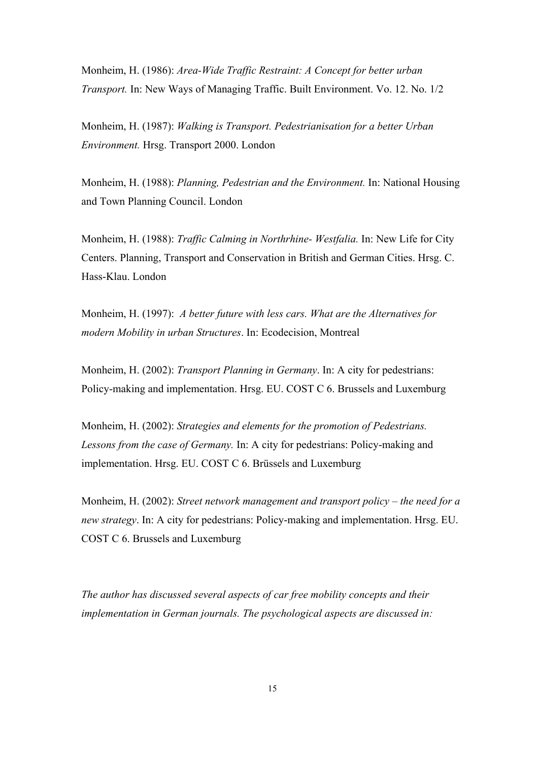Monheim, H. (1986): *Area-Wide Traffic Restraint: A Concept for better urban Transport.* In: New Ways of Managing Traffic. Built Environment. Vo. 12. No. 1/2

Monheim, H. (1987): *Walking is Transport. Pedestrianisation for a better Urban Environment.* Hrsg. Transport 2000. London

Monheim, H. (1988): *Planning, Pedestrian and the Environment.* In: National Housing and Town Planning Council. London

Monheim, H. (1988): *Traffic Calming in Northrhine- Westfalia.* In: New Life for City Centers. Planning, Transport and Conservation in British and German Cities. Hrsg. C. Hass-Klau. London

Monheim, H. (1997): *A better future with less cars. What are the Alternatives for modern Mobility in urban Structures*. In: Ecodecision, Montreal

Monheim, H. (2002): *Transport Planning in Germany*. In: A city for pedestrians: Policy-making and implementation. Hrsg. EU. COST C 6. Brussels and Luxemburg

Monheim, H. (2002): *Strategies and elements for the promotion of Pedestrians. Lessons from the case of Germany.* In: A city for pedestrians: Policy-making and implementation. Hrsg. EU. COST C 6. Brüssels and Luxemburg

Monheim, H. (2002): *Street network management and transport policy – the need for a new strategy*. In: A city for pedestrians: Policy-making and implementation. Hrsg. EU. COST C 6. Brussels and Luxemburg

*The author has discussed several aspects of car free mobility concepts and their implementation in German journals. The psychological aspects are discussed in:*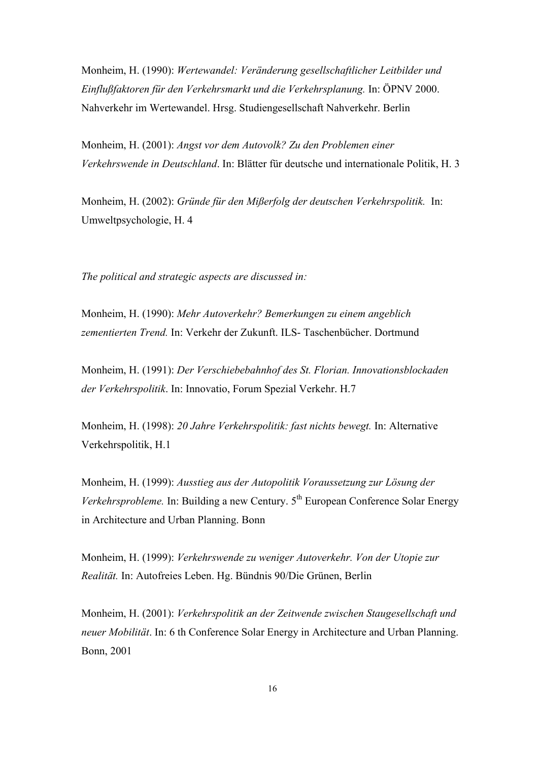Monheim, H. (1990): *Wertewandel: Veränderung gesellschaftlicher Leitbilder und Einflußfaktoren für den Verkehrsmarkt und die Verkehrsplanung.* In: ÖPNV 2000. Nahverkehr im Wertewandel. Hrsg. Studiengesellschaft Nahverkehr. Berlin

Monheim, H. (2001): *Angst vor dem Autovolk? Zu den Problemen einer Verkehrswende in Deutschland*. In: Blätter für deutsche und internationale Politik, H. 3

Monheim, H. (2002): *Gründe für den Mißerfolg der deutschen Verkehrspolitik.* In: Umweltpsychologie, H. 4

*The political and strategic aspects are discussed in:* 

Monheim, H. (1990): *Mehr Autoverkehr? Bemerkungen zu einem angeblich zementierten Trend.* In: Verkehr der Zukunft. ILS- Taschenbücher. Dortmund

Monheim, H. (1991): *Der Verschiebebahnhof des St. Florian. Innovationsblockaden der Verkehrspolitik*. In: Innovatio, Forum Spezial Verkehr. H.7

Monheim, H. (1998): *20 Jahre Verkehrspolitik: fast nichts bewegt.* In: Alternative Verkehrspolitik, H.1

Monheim, H. (1999): *Ausstieg aus der Autopolitik Voraussetzung zur Lösung der Verkehrsprobleme.* In: Building a new Century. 5<sup>th</sup> European Conference Solar Energy in Architecture and Urban Planning. Bonn

Monheim, H. (1999): *Verkehrswende zu weniger Autoverkehr. Von der Utopie zur Realität.* In: Autofreies Leben. Hg. Bündnis 90/Die Grünen, Berlin

Monheim, H. (2001): *Verkehrspolitik an der Zeitwende zwischen Staugesellschaft und neuer Mobilität*. In: 6 th Conference Solar Energy in Architecture and Urban Planning. Bonn, 2001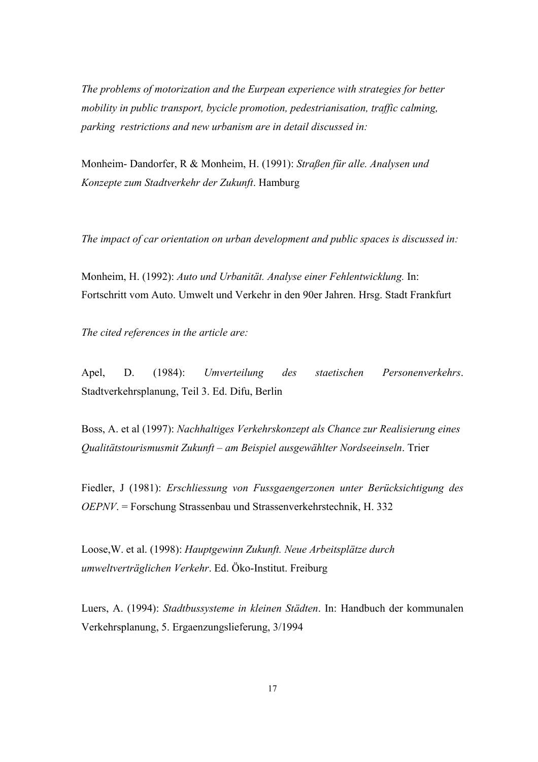*The problems of motorization and the Eurpean experience with strategies for better mobility in public transport, bycicle promotion, pedestrianisation, traffic calming, parking restrictions and new urbanism are in detail discussed in:* 

Monheim- Dandorfer, R & Monheim, H. (1991): *Straßen für alle. Analysen und Konzepte zum Stadtverkehr der Zukunft*. Hamburg

*The impact of car orientation on urban development and public spaces is discussed in:* 

Monheim, H. (1992): *Auto und Urbanität. Analyse einer Fehlentwicklung.* In: Fortschritt vom Auto. Umwelt und Verkehr in den 90er Jahren. Hrsg. Stadt Frankfurt

*The cited references in the article are:* 

Apel, D. (1984): *Umverteilung des staetischen Personenverkehrs*. Stadtverkehrsplanung, Teil 3. Ed. Difu, Berlin

Boss, A. et al (1997): *Nachhaltiges Verkehrskonzept als Chance zur Realisierung eines Qualitätstourismusmit Zukunft – am Beispiel ausgewählter Nordseeinseln*. Trier

Fiedler, J (1981): *Erschliessung von Fussgaengerzonen unter Berücksichtigung des OEPNV*. = Forschung Strassenbau und Strassenverkehrstechnik, H. 332

Loose,W. et al. (1998): *Hauptgewinn Zukunft. Neue Arbeitsplätze durch umweltverträglichen Verkehr*. Ed. Öko-Institut. Freiburg

Luers, A. (1994): *Stadtbussysteme in kleinen Städten*. In: Handbuch der kommunalen Verkehrsplanung, 5. Ergaenzungslieferung, 3/1994